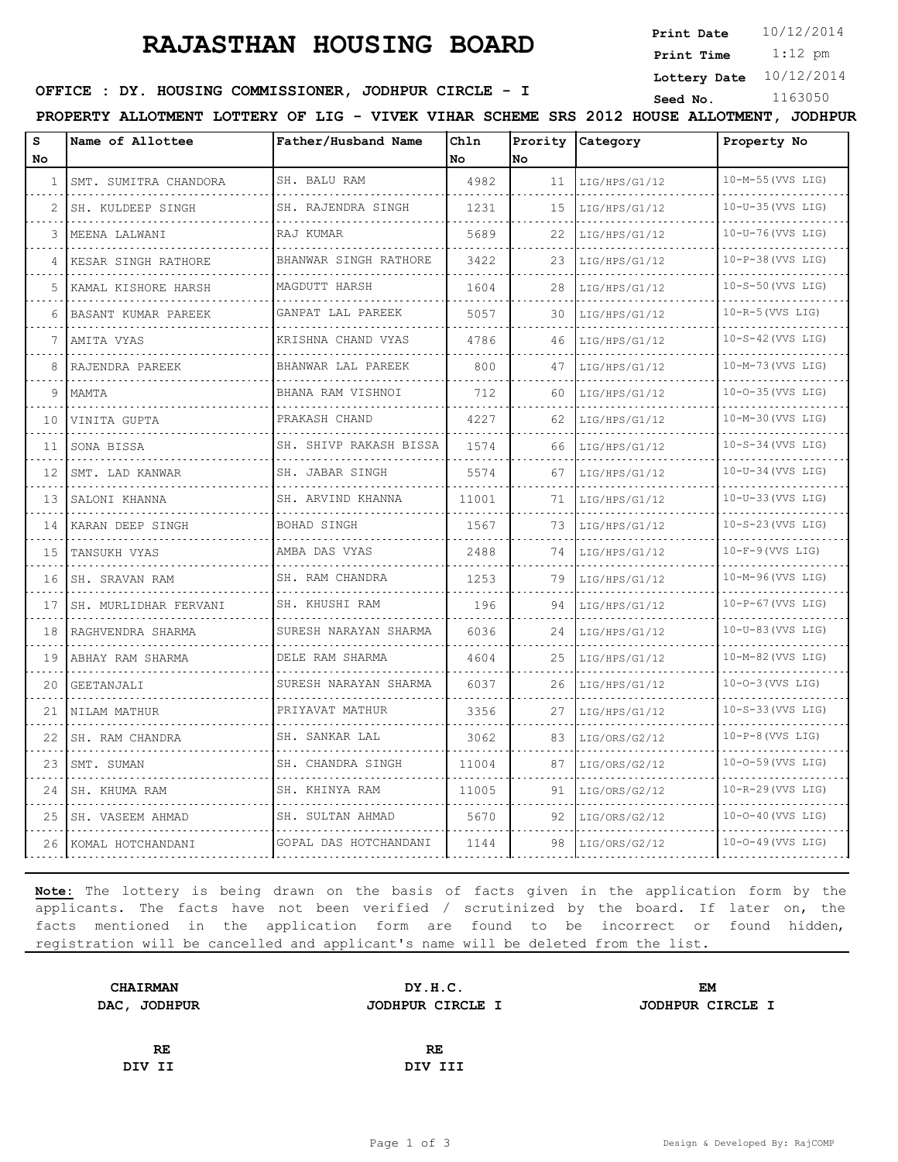# **RAJASTHAN HOUSING BOARD**

**Print Date**  $10/12/2014$ 

 1:12 pm **Print Time**

**Lottery Date** 10/12/2014

## **SEED : DY. HOUSING COMMISSIONER, JODHPUR CIRCLE - I** Seed No. 1163050

**PROPERTY ALLOTMENT LOTTERY OF LIG - VIVEK VIHAR SCHEME SRS 2012 HOUSE ALLOTMENT, JODHPUR**

| s<br>No | Name of Allottee       | Father/Husband Name           | Chln<br><b>No</b> | lNo. | Prority Category | Property No              |
|---------|------------------------|-------------------------------|-------------------|------|------------------|--------------------------|
| 1       | SMT. SUMITRA CHANDORA  | SH. BALU RAM                  | 4982              | 11   | LIG/HPS/G1/12    | 10-M-55 (VVS LIG)        |
|         | SH. KULDEEP SINGH      | SH. RAJENDRA SINGH            | 1231              | 15   | LIG/HPS/G1/12    | .<br>$10-U-35$ (VVS LIG) |
| 3       | MEENA LALWANI          | RAJ KUMAR                     | 5689              | 22   | LIG/HPS/G1/12    | 10-U-76 (VVS LIG)        |
| 4       | KESAR SINGH RATHORE    | BHANWAR SINGH RATHORE         | 3422              | 23   | LIG/HPS/G1/12    | $10-P-38$ (VVS LIG)      |
| 5       | KAMAL KISHORE HARSH    | MAGDUTT HARSH                 | 1604              | 28   | LIG/HPS/G1/12    | $10-S-50$ (VVS LIG)      |
| 6       | BASANT KUMAR PAREEK    | GANPAT LAL PAREEK<br><u>.</u> | 5057              | 30   | LIG/HPS/G1/12    | $10-R-5$ (VVS LIG)       |
| 7       | AMITA VYAS             | KRISHNA CHAND VYAS            | 4786              | 46   | LIG/HPS/G1/12    | 10-S-42 (VVS LIG)        |
| 8       | RAJENDRA PAREEK        | BHANWAR LAL PAREEK            | 800               | 47   | LIG/HPS/G1/12    | 10-M-73 (VVS LIG)        |
| 9       | MAMTA                  | BHANA RAM VISHNOI             | 712               | 60   | LIG/HPS/G1/12    | 10-0-35 (VVS LIG)        |
| 10      | VINITA GUPTA           | PRAKASH CHAND                 | 4227              | 62   | LIG/HPS/G1/12    | 10-M-30 (VVS LIG)        |
| 11      | SONA BISSA             | SH. SHIVP RAKASH BISSA        | 1574              | 66   | LIG/HPS/G1/12    | $10-S-34$ (VVS LIG)      |
| 12      | SMT. LAD KANWAR        | SH. JABAR SINGH               | 5574              | 67   | LIG/HPS/G1/12    | $10-U-34$ (VVS LIG)      |
| 13      | SALONI KHANNA          | SH. ARVIND KHANNA             | 11001             | 71   | LIG/HPS/G1/12    | $10-U-33$ (VVS LIG)      |
| 14      | KARAN DEEP SINGH       | BOHAD SINGH                   | 1567              | 73   | LIG/HPS/G1/12    | $10-S-23$ (VVS LIG)      |
| 15      | TANSUKH VYAS           | AMBA DAS VYAS                 | 2488              | 74   | LIG/HPS/G1/12    | $10-F-9$ (VVS LIG)       |
| 16      | SH. SRAVAN RAM         | SH. RAM CHANDRA               | 1253              | 79   | LIG/HPS/G1/12    | 10-M-96 (VVS LIG)        |
| 17      | SH. MURLIDHAR FERVANI  | SH. KHUSHI RAM                | 196               | 94   | LIG/HPS/G1/12    | $10-P-67$ (VVS LIG)      |
| 18      | RAGHVENDRA SHARMA<br>. | SURESH NARAYAN SHARMA         | 6036              | 24   | LIG/HPS/G1/12    | 10-U-83 (VVS LIG)        |
| 19      | ABHAY RAM SHARMA       | DELE RAM SHARMA               | 4604              | 25   | LIG/HPS/G1/12    | 10-M-82 (VVS LIG)        |
| 20      | GEETANJALI             | SURESH NARAYAN SHARMA         | 6037              | 26   | LIG/HPS/G1/12    | $10 - 0 - 3$ (VVS LIG)   |
| 21      | NILAM MATHUR           | PRIYAVAT MATHUR               | 3356              | 27   | LIG/HPS/G1/12    | $10-S-33$ (VVS LIG)      |
| 22      | SH. RAM CHANDRA        | SH. SANKAR LAL                | 3062              | 83   | LIG/ORS/G2/12    | $10-P-8$ (VVS LIG)       |
| 23      | SMT. SUMAN             | SH. CHANDRA SINGH             | 11004             | 87   | LIG/ORS/G2/12    | $10 - 0 - 59$ (VVS LIG)  |
| 24      | SH. KHUMA RAM          | SH. KHINYA RAM                | 11005             | 91   | LIG/ORS/G2/12    | $10-R-29$ (VVS LIG)      |
| 25      | SH. VASEEM AHMAD       | SH. SULTAN AHMAD              | 5670              | 92   | LIG/ORS/G2/12    | $10 - 0 - 40$ (VVS LIG)  |
|         | 26 KOMAL HOTCHANDANI   | GOPAL DAS HOTCHANDANI         | 1144              | 98   | LIG/ORS/G2/12    | 10-0-49 (VVS LIG)        |

**Note:** The lottery is being drawn on the basis of facts given in the application form by the applicants. The facts have not been verified / scrutinized by the board. If later on, the facts mentioned in the application form are found to be incorrect or found hidden, registration will be cancelled and applicant's name will be deleted from the list.

| <b>CHAIRMAN</b> | DY.H.C.          | EM               |  |  |
|-----------------|------------------|------------------|--|--|
| DAC, JODHPUR    | JODHPUR CIRCLE I | JODHPUR CIRCLE I |  |  |
|                 |                  |                  |  |  |
| <b>RE</b>       | RE.              |                  |  |  |
| DIV II          | DIV III          |                  |  |  |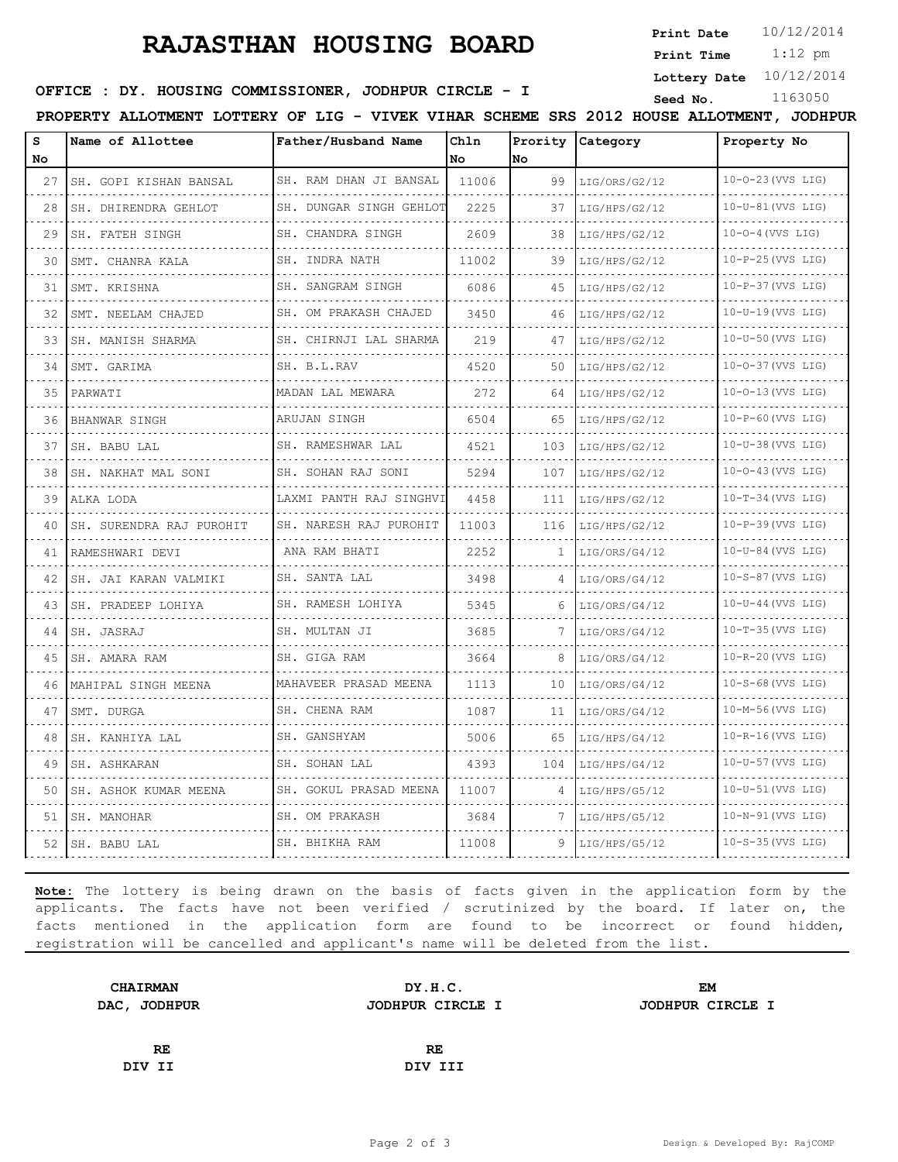# **RAJASTHAN HOUSING BOARD**

**Print Date**  $10/12/2014$ 

 1:12 pm **Print Time**

**Lottery Date** 10/12/2014

### **SEED : DY. HOUSING COMMISSIONER, JODHPUR CIRCLE - I** Seed No. 1163050

**PROPERTY ALLOTMENT LOTTERY OF LIG - VIVEK VIHAR SCHEME SRS 2012 HOUSE ALLOTMENT, JODHPUR**

| s<br>No | Name of Allottee         | Father/Husband Name         | Chln<br>No | No  | Prority Category | Property No             |
|---------|--------------------------|-----------------------------|------------|-----|------------------|-------------------------|
| 27      | SH. GOPI KISHAN BANSAL   | SH. RAM DHAN JI BANSAL      | 11006      | 99  | LIG/ORS/G2/12    | 10-0-23 (VVS LIG)       |
| 28      | SH. DHIRENDRA GEHLOT     | SH. DUNGAR SINGH GEHLOT     | 2225       | 37  | LIG/HPS/G2/12    | $10-U-81$ (VVS LIG)     |
| 29      | SH. FATEH SINGH          | SH. CHANDRA SINGH           | 2609       | 38  | LIG/HPS/G2/12    | $10 - 0 - 4$ (VVS LIG)  |
| 30      | SMT. CHANRA KALA         | SH. INDRA NATH              | 11002      | 39  | LIG/HPS/G2/12    | $10-P-25$ (VVS LIG)     |
| 31      | SMT. KRISHNA             | .<br>SH. SANGRAM SINGH      | 6086       | 45  | LIG/HPS/G2/12    | 10-P-37 (VVS LIG)       |
| 32      | SMT. NEELAM CHAJED       | SH. OM PRAKASH CHAJED       | 3450       | 46  | LIG/HPS/G2/12    | $10-U-19$ (VVS LIG)     |
| 33      | SH. MANISH SHARMA        | .<br>SH. CHIRNJI LAL SHARMA | 219        | 47  | LIG/HPS/G2/12    | 10-U-50 (VVS LIG)       |
| 34      | SMT. GARIMA              | SH. B.L.RAV                 | 4520       | 50  | LIG/HPS/G2/12    | 10-0-37 (VVS LIG)       |
| 35      | PARWATI                  | MADAN LAL MEWARA            | 272        | 64  | LIG/HPS/G2/12    | 10-0-13 (VVS LIG)       |
| 36      | BHANWAR SINGH            | ARUJAN SINGH<br>.           | 6504       | 65  | LIG/HPS/G2/12    | $10-P-60$ (VVS LIG)     |
| 37      | SH. BABU LAL             | SH. RAMESHWAR LAL           | 4521       | 103 | LIG/HPS/G2/12    | $10-U-38$ (VVS LIG)     |
| 38      | SH. NAKHAT MAL SONI      | SH. SOHAN RAJ SONI<br>.     | 5294       | 107 | LIG/HPS/G2/12    | $10 - 0 - 43$ (VVS LIG) |
| 39      | ALKA LODA                | LAXMI PANTH RAJ SINGHVI     | 4458       | 111 | LIG/HPS/G2/12    | $10-T-34$ (VVS LIG)     |
| 40      | SH. SURENDRA RAJ PUROHIT | SH. NARESH RAJ PUROHIT      | 11003      | 116 | LIG/HPS/G2/12    | $10-P-39$ (VVS LIG)     |
| 41      | RAMESHWARI DEVI          | ANA RAM BHATI               | 2252       | 1.  | LIG/ORS/G4/12    | $10-U-84$ (VVS LIG)     |
| 42      | SH. JAI KARAN VALMIKI    | SH. SANTA LAL               | 3498       | 4   | LIG/ORS/G4/12    | 10-S-87 (VVS LIG)       |
| 43      | SH. PRADEEP LOHIYA       | SH. RAMESH LOHIYA           | 5345       | 6   | LIG/ORS/G4/12    | $10-U-44$ (VVS LIG)     |
| 44      | SH. JASRAJ               | SH. MULTAN JI               | 3685       | 7   | LIG/ORS/G4/12    | $10-T-35$ (VVS LIG)     |
| 45      | SH. AMARA RAM            | SH. GIGA RAM                | 3664       | 8   | LIG/ORS/G4/12    | 10-R-20 (VVS LIG)       |
| 46      | MAHIPAL SINGH MEENA      | MAHAVEER PRASAD MEENA       | 1113       | 10  | LIG/ORS/G4/12    | $10-S-68$ (VVS LIG)     |
| 47      | SMT. DURGA               | SH. CHENA RAM               | 1087       | 11  | LIG/ORS/G4/12    | 10-M-56 (VVS LIG)       |
| 48      | SH. KANHIYA LAL          | SH. GANSHYAM                | 5006       | 65  | LIG/HPS/G4/12    | 10-R-16 (VVS LIG)       |
| 49      | SH. ASHKARAN             | SH. SOHAN LAL               | 4393       | 104 | LIG/HPS/G4/12    | $10-U-57$ (VVS LIG)     |
| 50      | SH. ASHOK KUMAR MEENA    | SH. GOKUL PRASAD MEENA      | 11007      | 4   | LIG/HPS/G5/12    | 10-U-51 (VVS LIG)       |
| 51      | SH. MANOHAR              | SH. OM PRAKASH              | 3684       | 7   | LIG/HPS/G5/12    | $10-N-91$ (VVS LIG)     |
| 52      | SH. BABU LAL             | SH. BHIKHA RAM              | 11008      | 9   | LIG/HPS/G5/12    | 10-S-35 (VVS LIG)       |

**Note:** The lottery is being drawn on the basis of facts given in the application form by the applicants. The facts have not been verified / scrutinized by the board. If later on, the facts mentioned in the application form are found to be incorrect or found hidden, registration will be cancelled and applicant's name will be deleted from the list.

| <b>CHAIRMAN</b> | DY.H.C.          | EM               |  |  |
|-----------------|------------------|------------------|--|--|
| DAC, JODHPUR    | JODHPUR CIRCLE I | JODHPUR CIRCLE I |  |  |
|                 |                  |                  |  |  |
| RE              | RE.              |                  |  |  |
| DIV II          | DIV III          |                  |  |  |